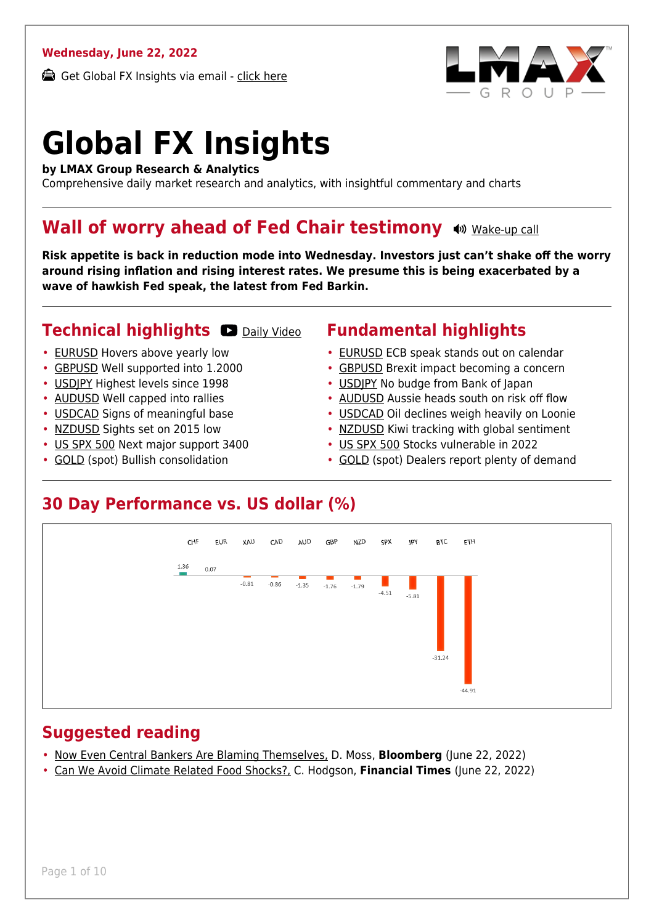#### **Wednesday, June 22, 2022**

Get Global FX Insights via email - [click here](https://www.lmax.com/blog/global-fx-insights/sign-up/?src=gfxipdf)



# **Global FX Insights**

**by LMAX Group Research & Analytics**

Comprehensive daily market research and analytics, with insightful commentary and charts

#### **Wall of worry ahead of Fed Chair testimony**  $\bullet$  [Wake-up call](https://www.lmax.com/blog/global-fx-insights/2022/06/22/wall-of-worry-ahead-of-fed-chair-testimony/?utm_source=GlobalFXInsights-Newsletter&utm_medium=Email&utm_campaign=GlobalFXInsights&audio=play#wakeup-53964)

**Risk appetite is back in reduction mode into Wednesday. Investors just can't shake off the worry around rising inflation and rising interest rates. We presume this is being exacerbated by a wave of hawkish Fed speak, the latest from Fed Barkin.**

#### **Technical highlights OD** [Daily Video](https://www.lmax.com/blog/global-fx-insights/2022/06/22/wall-of-worry-ahead-of-fed-chair-testimony/?utm_source=GlobalFXInsights-Newsletter&utm_medium=Email&utm_campaign=GlobalFXInsights&popup=watch#charttalk-53964)

- [EURUSD](#page-1-0) Hovers above yearly low
- [GBPUSD](#page-2-0) Well supported into 1.2000
- [USDJPY](#page-3-0) Highest levels since 1998
- [AUDUSD](#page-4-0) Well capped into rallies
- [USDCAD](#page-5-0) Signs of meaningful base
- [NZDUSD](#page-6-0) Sights set on 2015 low
- [US SPX 500](#page-7-0) Next major support 3400
- [GOLD](#page-8-0) (spot) Bullish consolidation

#### **Fundamental highlights**

- [EURUSD](#page-1-1) ECB speak stands out on calendar
- [GBPUSD](#page-2-1) Brexit impact becoming a concern
- USDIPY No budge from Bank of Japan
- [AUDUSD](#page-4-1) Aussie heads south on risk off flow
- [USDCAD](#page-5-1) Oil declines weigh heavily on Loonie
- [NZDUSD](#page-6-1) Kiwi tracking with global sentiment
- [US SPX 500](#page-7-1) Stocks vulnerable in 2022
- [GOLD](#page-8-1) (spot) Dealers report plenty of demand

#### **30 Day Performance vs. US dollar (%)**



#### **Suggested reading**

- [Now Even Central Bankers Are Blaming Themselves,](https://www.lmax.com/blog/global-fx-insights/2022/06/22/wall-of-worry-ahead-of-fed-chair-testimony/?read=https://www.bloomberg.com/opinion/articles/2022-06-21/the-rba-s-pandemic-stimulus-postmortem-acknowledges-its-mistakes?srnd=opinion#xj4y7vzkg) D. Moss, **Bloomberg** (June 22, 2022)
- [Can We Avoid Climate Related Food Shocks?,](https://www.lmax.com/blog/global-fx-insights/2022/06/22/wall-of-worry-ahead-of-fed-chair-testimony/?read=https://www.ft.com/video/1edb56ae-7d5f-4717-9e68-3fc627460507?playlist-name=latest&playlist-offset=0) C. Hodgson, **Financial Times** (June 22, 2022)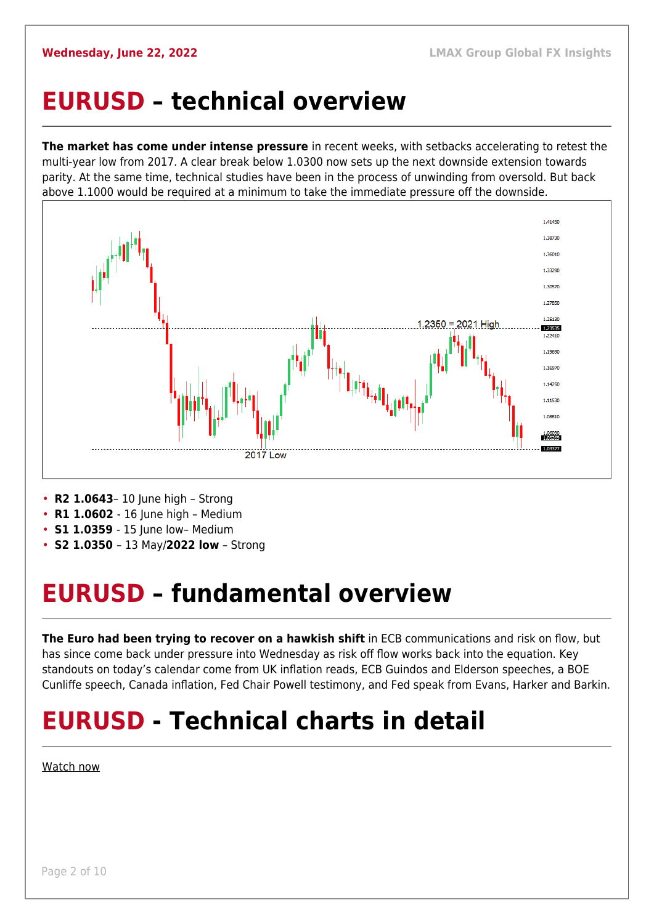#### <span id="page-1-0"></span>**EURUSD – technical overview**

**The market has come under intense pressure** in recent weeks, with setbacks accelerating to retest the multi-year low from 2017. A clear break below 1.0300 now sets up the next downside extension towards parity. At the same time, technical studies have been in the process of unwinding from oversold. But back above 1.1000 would be required at a minimum to take the immediate pressure off the downside.



- **R2 1.0643** 10 June high Strong
- **R1 1.0602** 16 June high Medium
- **S1 1.0359**  15 June low– Medium
- **S2 1.0350**  13 May/**2022 low** Strong

## <span id="page-1-1"></span>**EURUSD – fundamental overview**

**The Euro had been trying to recover on a hawkish shift** in ECB communications and risk on flow, but has since come back under pressure into Wednesday as risk off flow works back into the equation. Key standouts on today's calendar come from UK inflation reads, ECB Guindos and Elderson speeches, a BOE Cunliffe speech, Canada inflation, Fed Chair Powell testimony, and Fed speak from Evans, Harker and Barkin.

## **EURUSD - Technical charts in detail**

[Watch now](https://youtu.be/1s_gNAwnbnA)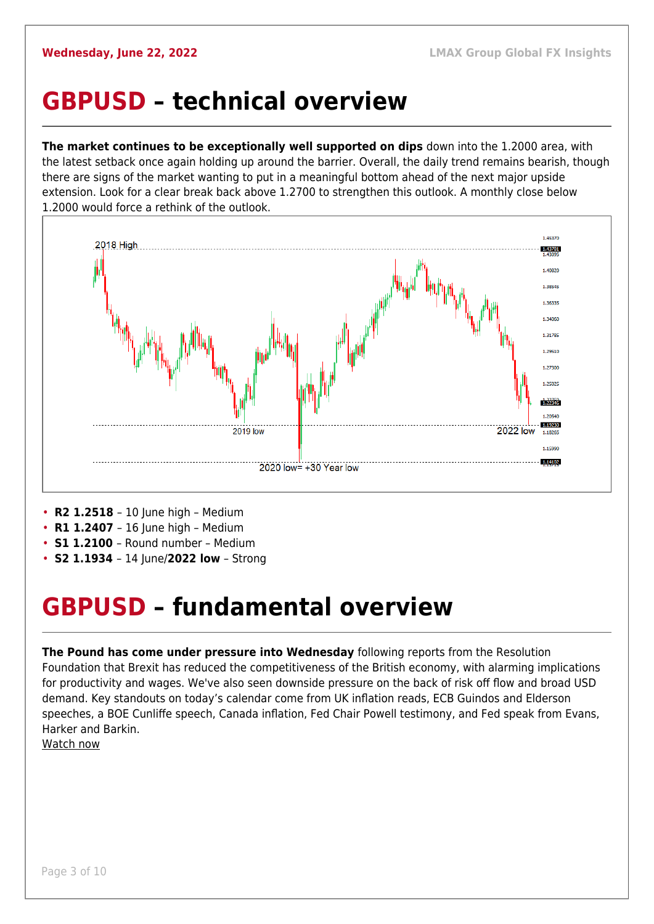#### <span id="page-2-0"></span>**GBPUSD – technical overview**

**The market continues to be exceptionally well supported on dips** down into the 1.2000 area, with the latest setback once again holding up around the barrier. Overall, the daily trend remains bearish, though there are signs of the market wanting to put in a meaningful bottom ahead of the next major upside extension. Look for a clear break back above 1.2700 to strengthen this outlook. A monthly close below 1.2000 would force a rethink of the outlook.



- **R2 1.2518** 10 June high Medium
- **R1 1.2407** 16 June high Medium
- **S1 1.2100**  Round number Medium
- **S2 1.1934**  14 June/**2022 low** Strong

#### <span id="page-2-1"></span>**GBPUSD – fundamental overview**

**The Pound has come under pressure into Wednesday** following reports from the Resolution Foundation that Brexit has reduced the competitiveness of the British economy, with alarming implications for productivity and wages. We've also seen downside pressure on the back of risk off flow and broad USD demand. Key standouts on today's calendar come from UK inflation reads, ECB Guindos and Elderson speeches, a BOE Cunliffe speech, Canada inflation, Fed Chair Powell testimony, and Fed speak from Evans, Harker and Barkin.

[Watch now](https://youtu.be/GxHVYmz0ISI)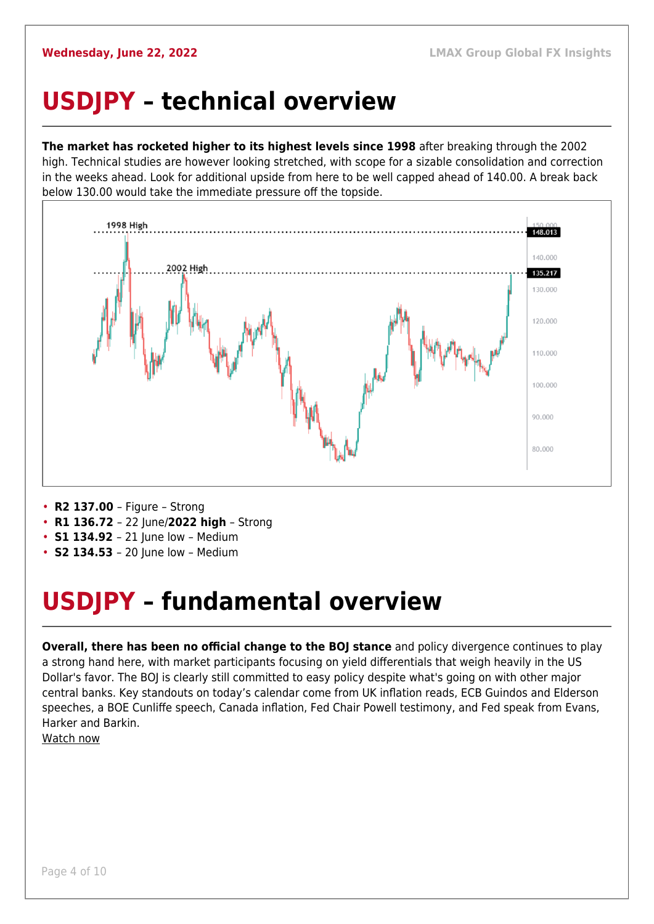#### <span id="page-3-0"></span>**USDJPY – technical overview**

**The market has rocketed higher to its highest levels since 1998** after breaking through the 2002 high. Technical studies are however looking stretched, with scope for a sizable consolidation and correction in the weeks ahead. Look for additional upside from here to be well capped ahead of 140.00. A break back below 130.00 would take the immediate pressure off the topside.



- **R2 137.00**  Figure Strong
- **R1 136.72**  22 June/**2022 high** Strong
- **S1 134.92** 21 June low Medium
- **S2 134.53**  20 June low Medium

## <span id="page-3-1"></span>**USDJPY – fundamental overview**

**Overall, there has been no official change to the BOJ stance** and policy divergence continues to play a strong hand here, with market participants focusing on yield differentials that weigh heavily in the US Dollar's favor. The BOJ is clearly still committed to easy policy despite what's going on with other major central banks. Key standouts on today's calendar come from UK inflation reads, ECB Guindos and Elderson speeches, a BOE Cunliffe speech, Canada inflation, Fed Chair Powell testimony, and Fed speak from Evans, Harker and Barkin.

[Watch now](https://youtu.be/5iw8z8kH8EU)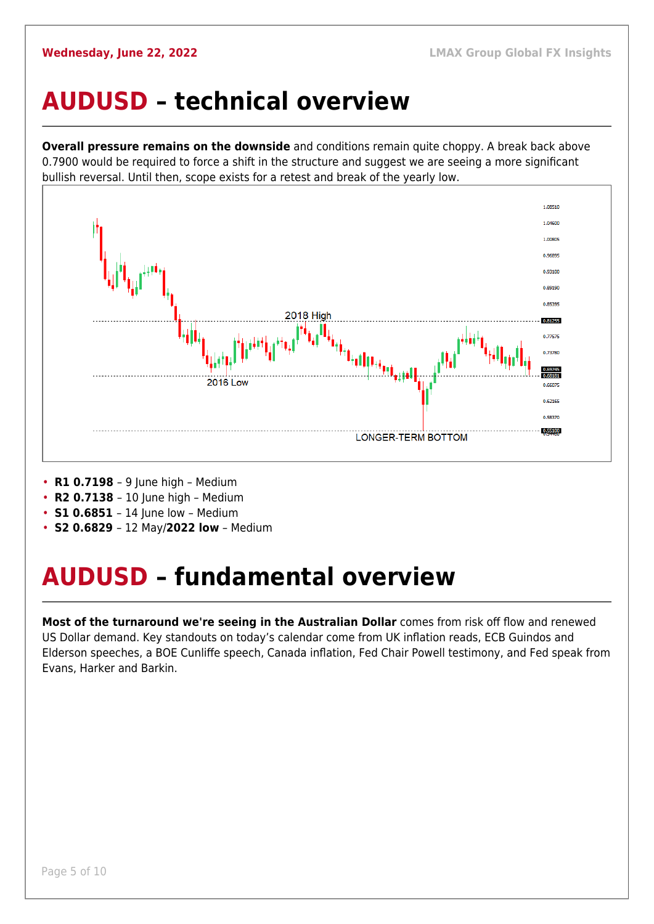#### <span id="page-4-0"></span>**AUDUSD – technical overview**

**Overall pressure remains on the downside** and conditions remain quite choppy. A break back above 0.7900 would be required to force a shift in the structure and suggest we are seeing a more significant bullish reversal. Until then, scope exists for a retest and break of the yearly low.



- **R1 0.7198**  9 June high Medium
- **R2 0.7138**  10 June high Medium
- **S1 0.6851** 14 June low Medium
- **S2 0.6829**  12 May/**2022 low** Medium

## <span id="page-4-1"></span>**AUDUSD – fundamental overview**

**Most of the turnaround we're seeing in the Australian Dollar** comes from risk off flow and renewed US Dollar demand. Key standouts on today's calendar come from UK inflation reads, ECB Guindos and Elderson speeches, a BOE Cunliffe speech, Canada inflation, Fed Chair Powell testimony, and Fed speak from Evans, Harker and Barkin.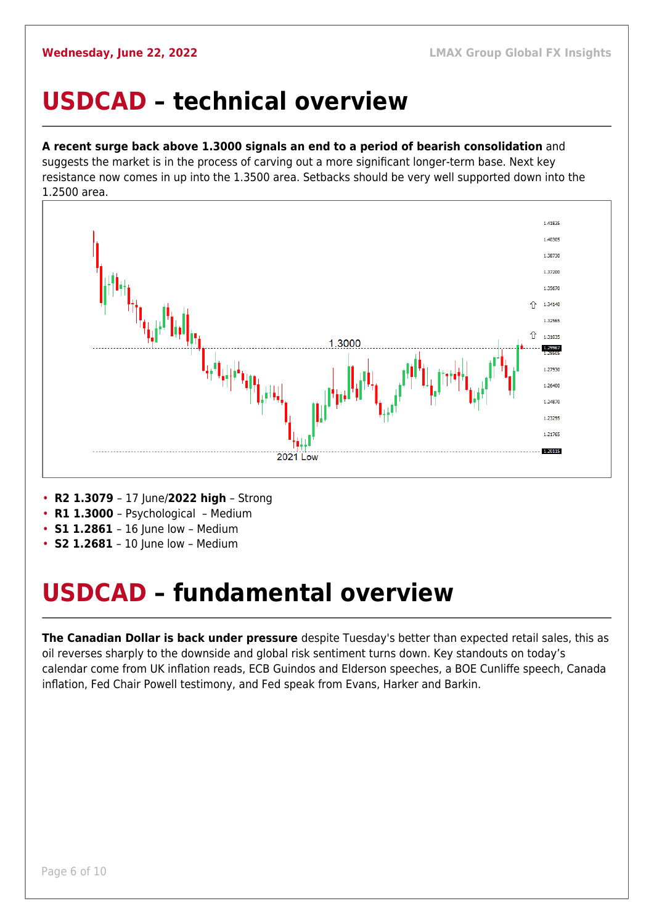#### <span id="page-5-0"></span>**USDCAD – technical overview**

#### **A recent surge back above 1.3000 signals an end to a period of bearish consolidation** and

suggests the market is in the process of carving out a more significant longer-term base. Next key resistance now comes in up into the 1.3500 area. Setbacks should be very well supported down into the 1.2500 area.



- **R2 1.3079**  17 June/**2022 high** Strong
- **R1 1.3000**  Psychological Medium
- **S1 1.2861**  16 June low Medium
- **S2 1.2681** 10 June low Medium

## <span id="page-5-1"></span>**USDCAD – fundamental overview**

**The Canadian Dollar is back under pressure** despite Tuesday's better than expected retail sales, this as oil reverses sharply to the downside and global risk sentiment turns down. Key standouts on today's calendar come from UK inflation reads, ECB Guindos and Elderson speeches, a BOE Cunliffe speech, Canada inflation, Fed Chair Powell testimony, and Fed speak from Evans, Harker and Barkin.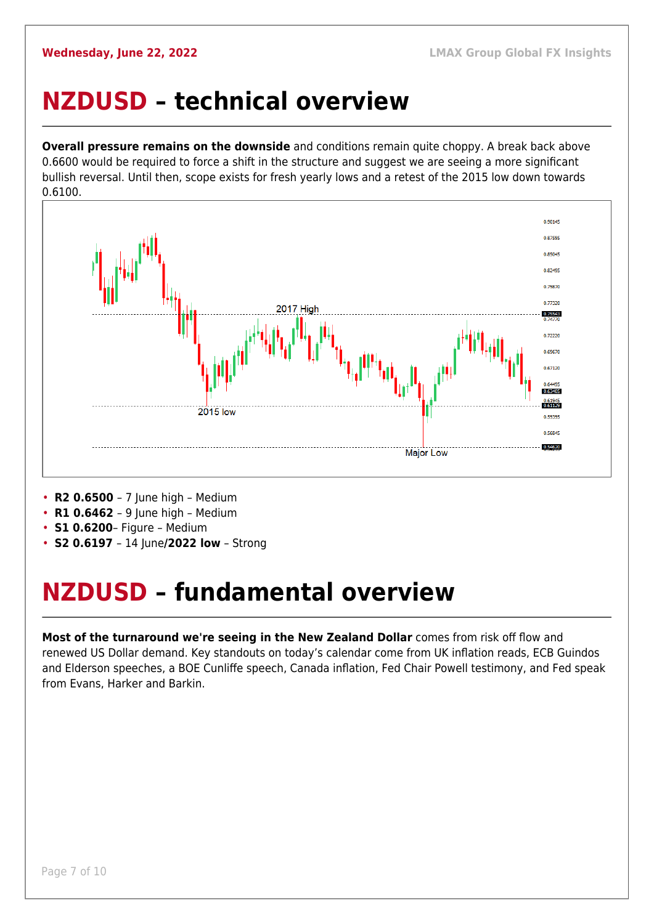#### <span id="page-6-0"></span>**NZDUSD – technical overview**

**Overall pressure remains on the downside** and conditions remain quite choppy. A break back above 0.6600 would be required to force a shift in the structure and suggest we are seeing a more significant bullish reversal. Until then, scope exists for fresh yearly lows and a retest of the 2015 low down towards 0.6100.



- **R2 0.6500**  7 June high Medium
- **R1 0.6462**  9 June high Medium
- **S1 0.6200** Figure Medium
- **S2 0.6197**  14 June**/2022 low** Strong

#### <span id="page-6-1"></span>**NZDUSD – fundamental overview**

**Most of the turnaround we're seeing in the New Zealand Dollar** comes from risk off flow and renewed US Dollar demand. Key standouts on today's calendar come from UK inflation reads, ECB Guindos and Elderson speeches, a BOE Cunliffe speech, Canada inflation, Fed Chair Powell testimony, and Fed speak from Evans, Harker and Barkin.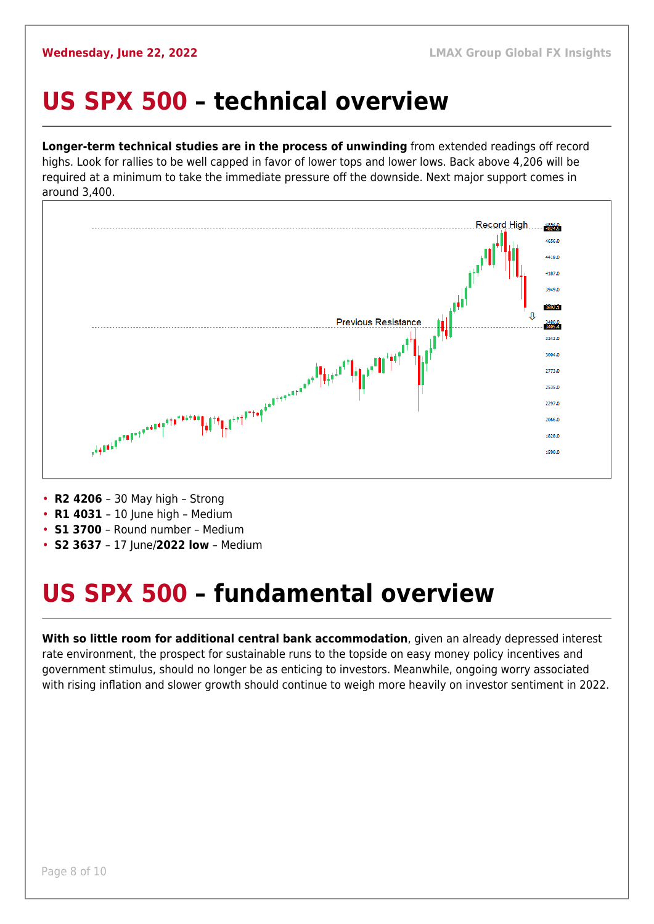## <span id="page-7-0"></span>**US SPX 500 – technical overview**

**Longer-term technical studies are in the process of unwinding** from extended readings off record highs. Look for rallies to be well capped in favor of lower tops and lower lows. Back above 4,206 will be required at a minimum to take the immediate pressure off the downside. Next major support comes in around 3,400.



- **R2 4206**  30 May high Strong
- **R1 4031** 10 June high Medium
- **S1 3700**  Round number Medium
- **S2 3637**  17 June/**2022 low** Medium

## <span id="page-7-1"></span>**US SPX 500 – fundamental overview**

**With so little room for additional central bank accommodation**, given an already depressed interest rate environment, the prospect for sustainable runs to the topside on easy money policy incentives and government stimulus, should no longer be as enticing to investors. Meanwhile, ongoing worry associated with rising inflation and slower growth should continue to weigh more heavily on investor sentiment in 2022.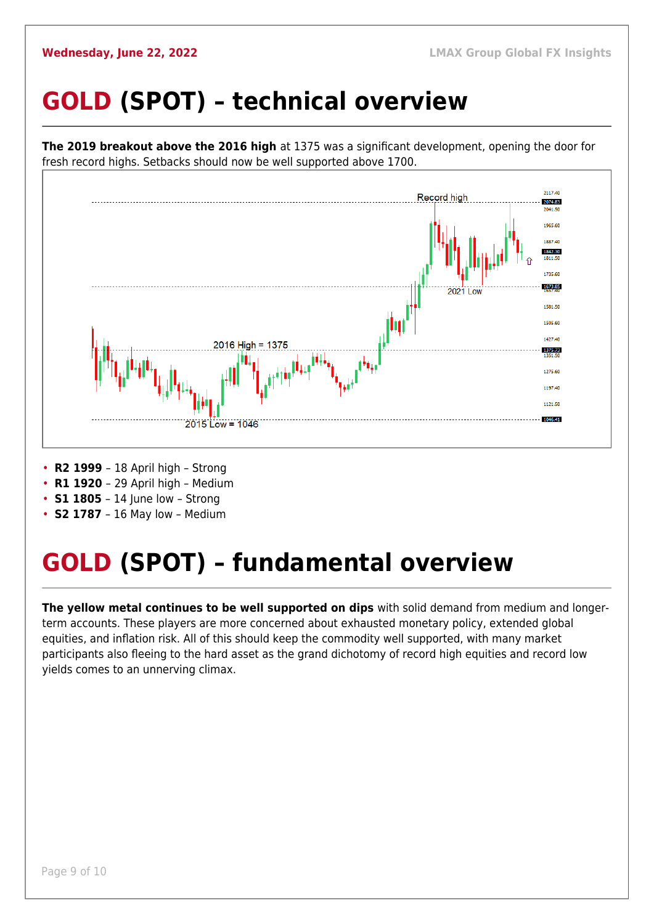## <span id="page-8-0"></span>**GOLD (SPOT) – technical overview**



- **S1 1805** 14 June low Strong
- **S2 1787**  16 May low Medium

## <span id="page-8-1"></span>**GOLD (SPOT) – fundamental overview**

**The yellow metal continues to be well supported on dips** with solid demand from medium and longerterm accounts. These players are more concerned about exhausted monetary policy, extended global equities, and inflation risk. All of this should keep the commodity well supported, with many market participants also fleeing to the hard asset as the grand dichotomy of record high equities and record low yields comes to an unnerving climax.